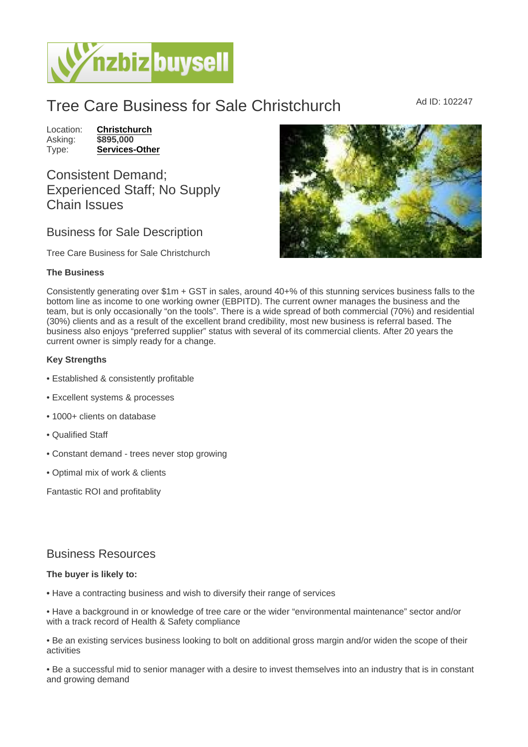## Tree Care Business for Sale Christchurch Ad ID: 102247

Location: [Christchurch](https://www.nzbizbuysell.co.nz/businesses-for-sale/location/Christchurch) Asking: \$895,000<br>Type: Services-[Services-Other](https://www.nzbizbuysell.co.nz/businesses-for-sale/Services/New-Zealand)

Consistent Demand; Experienced Staff; No Supply Chain Issues

## Business for Sale Description

Tree Care Business for Sale Christchurch

## The Business

Consistently generating over \$1m + GST in sales, around 40+% of this stunning services business falls to the bottom line as income to one working owner (EBPITD). The current owner manages the business and the team, but is only occasionally "on the tools". There is a wide spread of both commercial (70%) and residential (30%) clients and as a result of the excellent brand credibility, most new business is referral based. The business also enjoys "preferred supplier" status with several of its commercial clients. After 20 years the current owner is simply ready for a change.

Key Strengths

- Established & consistently profitable
- Excellent systems & processes
- 1000+ clients on database
- Qualified Staff
- Constant demand trees never stop growing
- Optimal mix of work & clients

Fantastic ROI and profitablity

## Business Resources

The buyer is likely to:

• Have a contracting business and wish to diversify their range of services

• Have a background in or knowledge of tree care or the wider "environmental maintenance" sector and/or with a track record of Health & Safety compliance

• Be an existing services business looking to bolt on additional gross margin and/or widen the scope of their activities

• Be a successful mid to senior manager with a desire to invest themselves into an industry that is in constant and growing demand